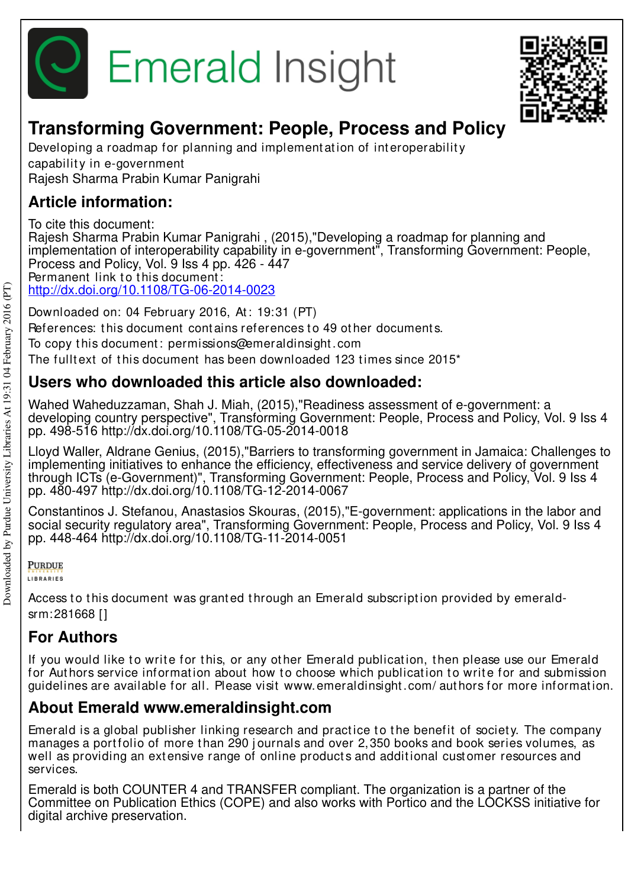



# **Transforming Government: People, Process and Policy**

Developing a roadmap for planning and implementation of interoperability capabilit y in e-government Rajesh Sharma Prabin Kumar Panigrahi

# **Article information:**

To cite this document: Rajesh Sharma Prabin Kumar Panigrahi , (2015),"Developing a roadmap for planning and implementation of interoperability capability in e-government", Transforming Government: People, Process and Policy, Vol. 9 Iss 4 pp. 426 - 447 Permanent link to this document: http://dx.doi.org/10.1108/TG-06-2014-0023

Downloaded on: 04 February 2016, At : 19:31 (PT)

References: this document contains references to 49 other documents.

To copy t his document : permissions@emeraldinsight .com

The fulltext of this document has been downloaded 123 times since 2015\*

## **Users who downloaded this article also downloaded:**

Wahed Waheduzzaman, Shah J. Miah, (2015),"Readiness assessment of e-government: a developing country perspective", Transforming Government: People, Process and Policy, Vol. 9 Iss 4 pp. 498-516 http://dx.doi.org/10.1108/TG-05-2014-0018

Lloyd Waller, Aldrane Genius, (2015),"Barriers to transforming government in Jamaica: Challenges to implementing initiatives to enhance the efficiency, effectiveness and service delivery of government through ICTs (e-Government)", Transforming Government: People, Process and Policy, Vol. 9 Iss 4 pp. 480-497 http://dx.doi.org/10.1108/TG-12-2014-0067

Constantinos J. Stefanou, Anastasios Skouras, (2015),"E-government: applications in the labor and social security regulatory area", Transforming Government: People, Process and Policy, Vol. 9 Iss 4 pp. 448-464 http://dx.doi.org/10.1108/TG-11-2014-0051

### **PURDUE**

LIBRARIES

Access to this document was granted through an Emerald subscription provided by emeraldsrm:281668 []

# **For Authors**

If you would like to write for this, or any other Emerald publication, then please use our Emerald for Authors service information about how to choose which publication to write for and submission guidelines are available for all. Please visit www.emeraldinsight .com/ aut hors for more informat ion.

# **About Emerald www.emeraldinsight.com**

Emerald is a global publisher linking research and practice to the benefit of society. The company manages a portfolio of more than 290 journals and over 2,350 books and book series volumes, as well as providing an extensive range of online products and additional customer resources and services.

Emerald is both COUNTER 4 and TRANSFER compliant. The organization is a partner of the Committee on Publication Ethics (COPE) and also works with Portico and the LOCKSS initiative for digital archive preservation.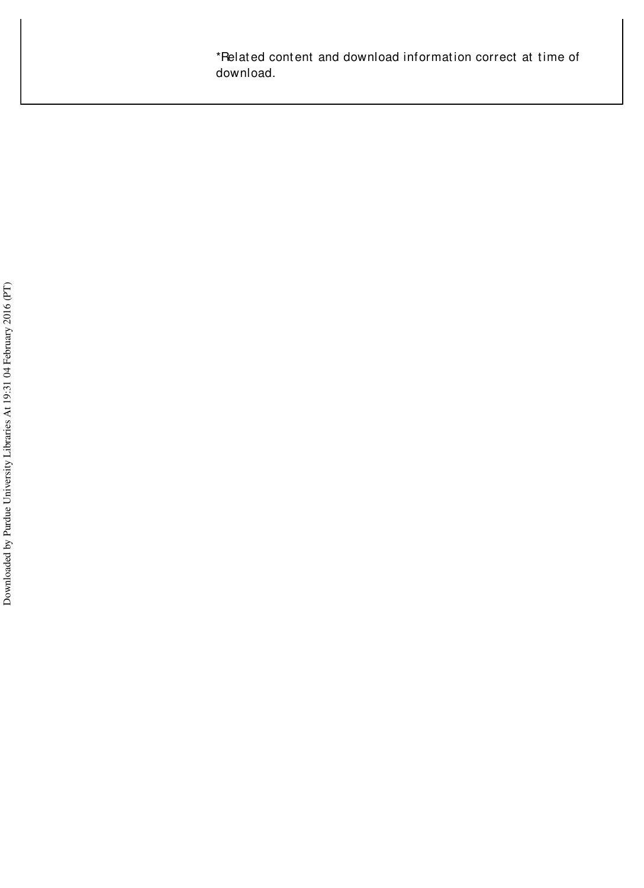\*Relat ed cont ent and download informat ion correct at t ime of download.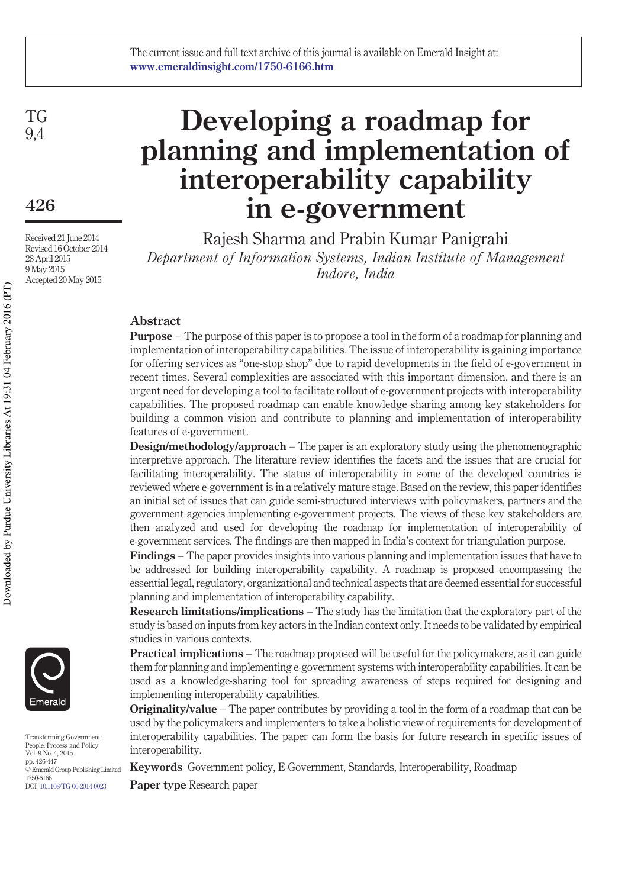#### The current issue and full text archive of this journal is available on Emerald Insight at: **www.emeraldinsight.com/1750-6166.htm**

TG 9,4

**426**

Received 21 June 2014 Revised 16 October 2014 28 April 2015 9 May 2015 Accepted 20 May 2015

# **Developing a roadmap for planning and implementation of interoperability capability in e-government**

Rajesh Sharma and Prabin Kumar Panigrahi *Department of Information Systems, Indian Institute of Management Indore, India*

#### **Abstract**

**Purpose** – The purpose of this paper is to propose a tool in the form of a roadmap for planning and implementation of interoperability capabilities. The issue of interoperability is gaining importance for offering services as "one-stop shop" due to rapid developments in the field of e-government in recent times. Several complexities are associated with this important dimension, and there is an urgent need for developing a tool to facilitate rollout of e-government projects with interoperability capabilities. The proposed roadmap can enable knowledge sharing among key stakeholders for building a common vision and contribute to planning and implementation of interoperability features of e-government.

**Design/methodology/approach** – The paper is an exploratory study using the phenomenographic interpretive approach. The literature review identifies the facets and the issues that are crucial for facilitating interoperability. The status of interoperability in some of the developed countries is reviewed where e-government is in a relatively mature stage. Based on the review, this paper identifies an initial set of issues that can guide semi-structured interviews with policymakers, partners and the government agencies implementing e-government projects. The views of these key stakeholders are then analyzed and used for developing the roadmap for implementation of interoperability of e-government services. The findings are then mapped in India's context for triangulation purpose.

**Findings** – The paper provides insights into various planning and implementation issues that have to be addressed for building interoperability capability. A roadmap is proposed encompassing the essential legal, regulatory, organizational and technical aspects that are deemed essential for successful planning and implementation of interoperability capability.

**Research limitations/implications** – The study has the limitation that the exploratory part of the study is based on inputs from key actors in the Indian context only. It needs to be validated by empirical studies in various contexts.

**Practical implications** – The roadmap proposed will be useful for the policymakers, as it can guide them for planning and implementing e-government systems with interoperability capabilities. It can be used as a knowledge-sharing tool for spreading awareness of steps required for designing and implementing interoperability capabilities.

**Originality/value** – The paper contributes by providing a tool in the form of a roadmap that can be used by the policymakers and implementers to take a holistic view of requirements for development of interoperability capabilities. The paper can form the basis for future research in specific issues of interoperability.

**Keywords** Government policy, E-Government, Standards, Interoperability, Roadmap

**Paper type** Research paper



Transforming Government: People, Process and Policy Vol. 9 No. 4, 2015 pp. 426-447 © Emerald Group Publishing Limited 1750-6166 DOI 10.1108/TG-06-2014-0023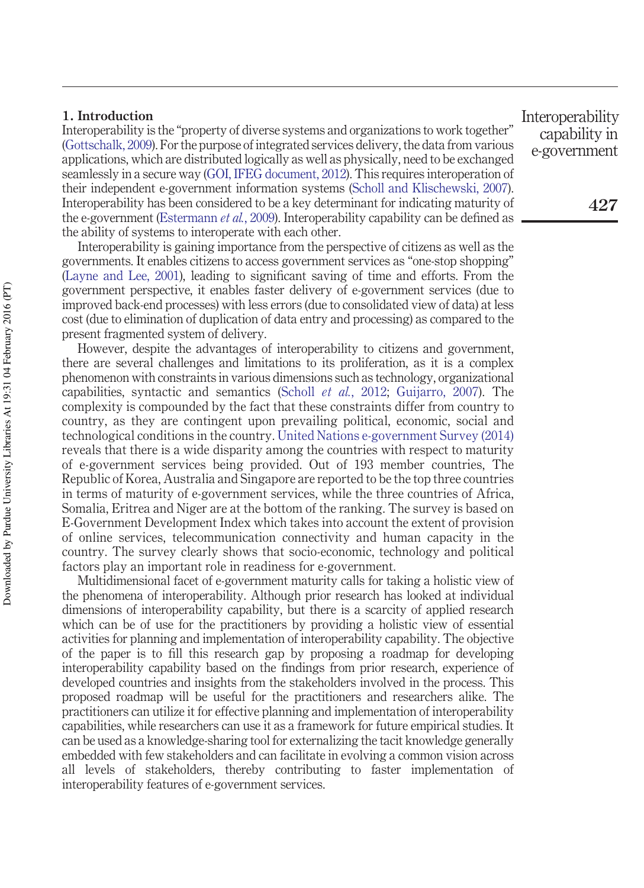#### **1. Introduction**

Interoperability is the "property of diverse systems and organizations to work together" (Gottschalk, 2009). For the purpose of integrated services delivery, the data from various applications, which are distributed logically as well as physically, need to be exchanged seamlessly in a secure way (GOI, IFEG document, 2012). This requires interoperation of their independent e-government information systems (Scholl and Klischewski, 2007). Interoperability has been considered to be a key determinant for indicating maturity of the e-government (Estermann *et al.*, 2009). Interoperability capability can be defined as the ability of systems to interoperate with each other.

Interoperability is gaining importance from the perspective of citizens as well as the governments. It enables citizens to access government services as "one-stop shopping" (Layne and Lee, 2001), leading to significant saving of time and efforts. From the government perspective, it enables faster delivery of e-government services (due to improved back-end processes) with less errors (due to consolidated view of data) at less cost (due to elimination of duplication of data entry and processing) as compared to the present fragmented system of delivery.

However, despite the advantages of interoperability to citizens and government, there are several challenges and limitations to its proliferation, as it is a complex phenomenon with constraints in various dimensions such as technology, organizational capabilities, syntactic and semantics (Scholl *et al.*, 2012; Guijarro, 2007). The complexity is compounded by the fact that these constraints differ from country to country, as they are contingent upon prevailing political, economic, social and technological conditions in the country. United Nations e-government Survey (2014) reveals that there is a wide disparity among the countries with respect to maturity of e-government services being provided. Out of 193 member countries, The Republic of Korea, Australia and Singapore are reported to be the top three countries in terms of maturity of e-government services, while the three countries of Africa, Somalia, Eritrea and Niger are at the bottom of the ranking. The survey is based on E-Government Development Index which takes into account the extent of provision of online services, telecommunication connectivity and human capacity in the country. The survey clearly shows that socio-economic, technology and political factors play an important role in readiness for e-government.

Multidimensional facet of e-government maturity calls for taking a holistic view of the phenomena of interoperability. Although prior research has looked at individual dimensions of interoperability capability, but there is a scarcity of applied research which can be of use for the practitioners by providing a holistic view of essential activities for planning and implementation of interoperability capability. The objective of the paper is to fill this research gap by proposing a roadmap for developing interoperability capability based on the findings from prior research, experience of developed countries and insights from the stakeholders involved in the process. This proposed roadmap will be useful for the practitioners and researchers alike. The practitioners can utilize it for effective planning and implementation of interoperability capabilities, while researchers can use it as a framework for future empirical studies. It can be used as a knowledge-sharing tool for externalizing the tacit knowledge generally embedded with few stakeholders and can facilitate in evolving a common vision across all levels of stakeholders, thereby contributing to faster implementation of interoperability features of e-government services.

Interoperability capability in e-government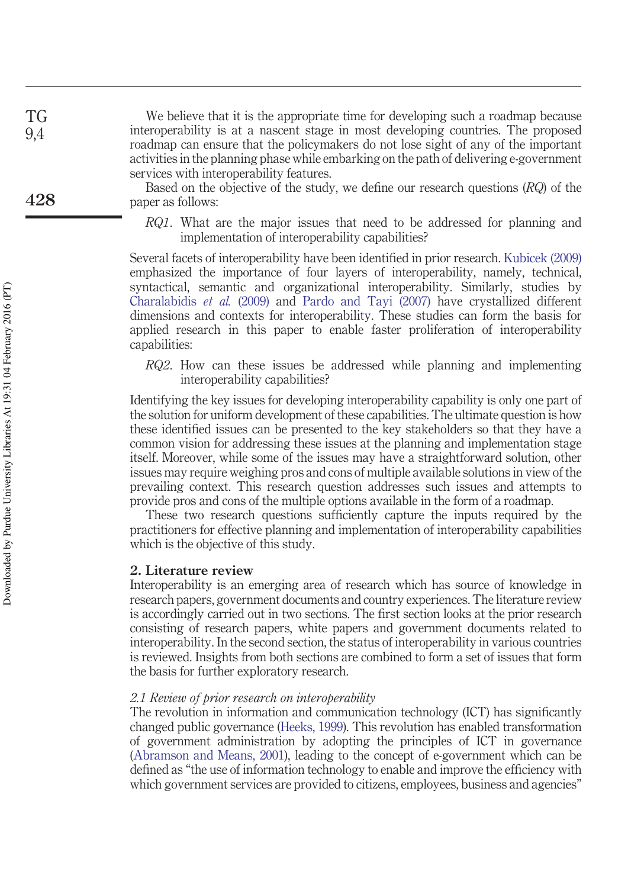We believe that it is the appropriate time for developing such a roadmap because interoperability is at a nascent stage in most developing countries. The proposed roadmap can ensure that the policymakers do not lose sight of any of the important activities in the planning phase while embarking on the path of delivering e-government services with interoperability features.

Based on the objective of the study, we define our research questions (*RQ*) of the paper as follows:

*RQ1*. What are the major issues that need to be addressed for planning and implementation of interoperability capabilities?

Several facets of interoperability have been identified in prior research. Kubicek (2009) emphasized the importance of four layers of interoperability, namely, technical, syntactical, semantic and organizational interoperability. Similarly, studies by Charalabidis *et al.* (2009) and Pardo and Tayi (2007) have crystallized different dimensions and contexts for interoperability. These studies can form the basis for applied research in this paper to enable faster proliferation of interoperability capabilities:

*RQ2*. How can these issues be addressed while planning and implementing interoperability capabilities?

Identifying the key issues for developing interoperability capability is only one part of the solution for uniform development of these capabilities. The ultimate question is how these identified issues can be presented to the key stakeholders so that they have a common vision for addressing these issues at the planning and implementation stage itself. Moreover, while some of the issues may have a straightforward solution, other issues may require weighing pros and cons of multiple available solutions in view of the prevailing context. This research question addresses such issues and attempts to provide pros and cons of the multiple options available in the form of a roadmap.

These two research questions sufficiently capture the inputs required by the practitioners for effective planning and implementation of interoperability capabilities which is the objective of this study.

#### **2. Literature review**

Interoperability is an emerging area of research which has source of knowledge in research papers, government documents and country experiences. The literature review is accordingly carried out in two sections. The first section looks at the prior research consisting of research papers, white papers and government documents related to interoperability. In the second section, the status of interoperability in various countries is reviewed. Insights from both sections are combined to form a set of issues that form the basis for further exploratory research.

#### *2.1 Review of prior research on interoperability*

The revolution in information and communication technology (ICT) has significantly changed public governance (Heeks, 1999). This revolution has enabled transformation of government administration by adopting the principles of ICT in governance (Abramson and Means, 2001), leading to the concept of e-government which can be defined as "the use of information technology to enable and improve the efficiency with which government services are provided to citizens, employees, business and agencies"

TG 9,4

**428**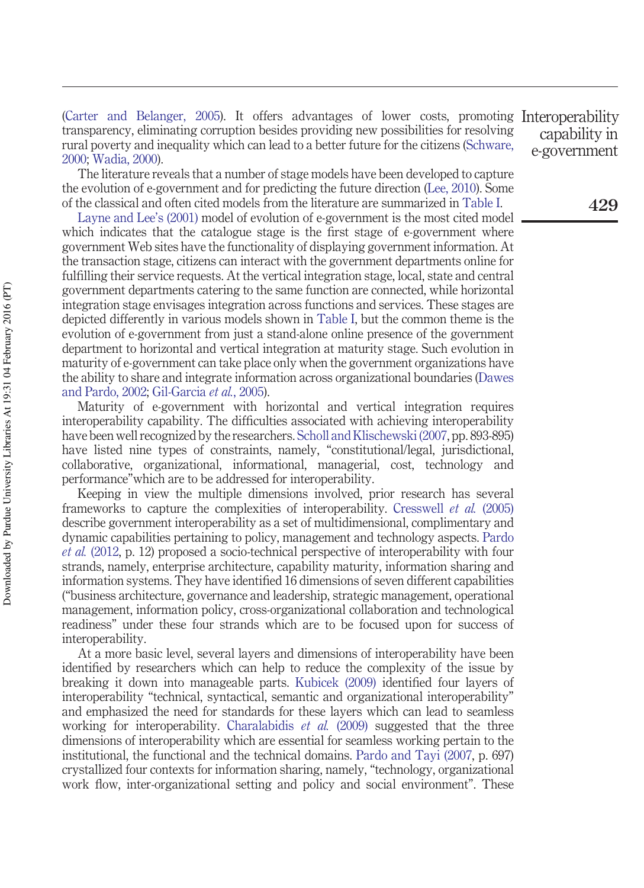(Carter and Belanger, 2005). It offers advantages of lower costs, promoting Interoperability transparency, eliminating corruption besides providing new possibilities for resolving rural poverty and inequality which can lead to a better future for the citizens (Schware, 2000; Wadia, 2000).

The literature reveals that a number of stage models have been developed to capture the evolution of e-government and for predicting the future direction (Lee, 2010). Some of the classical and often cited models from the literature are summarized in Table I.

Layne and Lee's (2001) model of evolution of e-government is the most cited model which indicates that the catalogue stage is the first stage of e-government where government Web sites have the functionality of displaying government information. At the transaction stage, citizens can interact with the government departments online for fulfilling their service requests. At the vertical integration stage, local, state and central government departments catering to the same function are connected, while horizontal integration stage envisages integration across functions and services. These stages are depicted differently in various models shown in Table I, but the common theme is the evolution of e-government from just a stand-alone online presence of the government department to horizontal and vertical integration at maturity stage. Such evolution in maturity of e-government can take place only when the government organizations have the ability to share and integrate information across organizational boundaries (Dawes and Pardo, 2002; Gil-Garcia *et al.*, 2005).

Maturity of e-government with horizontal and vertical integration requires interoperability capability. The difficulties associated with achieving interoperability have been well recognized by the researchers. Scholl and Klischewski (2007, pp. 893-895) have listed nine types of constraints, namely, "constitutional/legal, jurisdictional, collaborative, organizational, informational, managerial, cost, technology and performance"which are to be addressed for interoperability.

Keeping in view the multiple dimensions involved, prior research has several frameworks to capture the complexities of interoperability. Cresswell *et al.* (2005) describe government interoperability as a set of multidimensional, complimentary and dynamic capabilities pertaining to policy, management and technology aspects. Pardo *et al.* (2012, p. 12) proposed a socio-technical perspective of interoperability with four strands, namely, enterprise architecture, capability maturity, information sharing and information systems. They have identified 16 dimensions of seven different capabilities ("business architecture, governance and leadership, strategic management, operational management, information policy, cross-organizational collaboration and technological readiness" under these four strands which are to be focused upon for success of interoperability.

At a more basic level, several layers and dimensions of interoperability have been identified by researchers which can help to reduce the complexity of the issue by breaking it down into manageable parts. Kubicek (2009) identified four layers of interoperability "technical, syntactical, semantic and organizational interoperability" and emphasized the need for standards for these layers which can lead to seamless working for interoperability. Charalabidis *et al.* (2009) suggested that the three dimensions of interoperability which are essential for seamless working pertain to the institutional, the functional and the technical domains. Pardo and Tayi (2007, p. 697) crystallized four contexts for information sharing, namely, "technology, organizational work flow, inter-organizational setting and policy and social environment". These

capability in e-government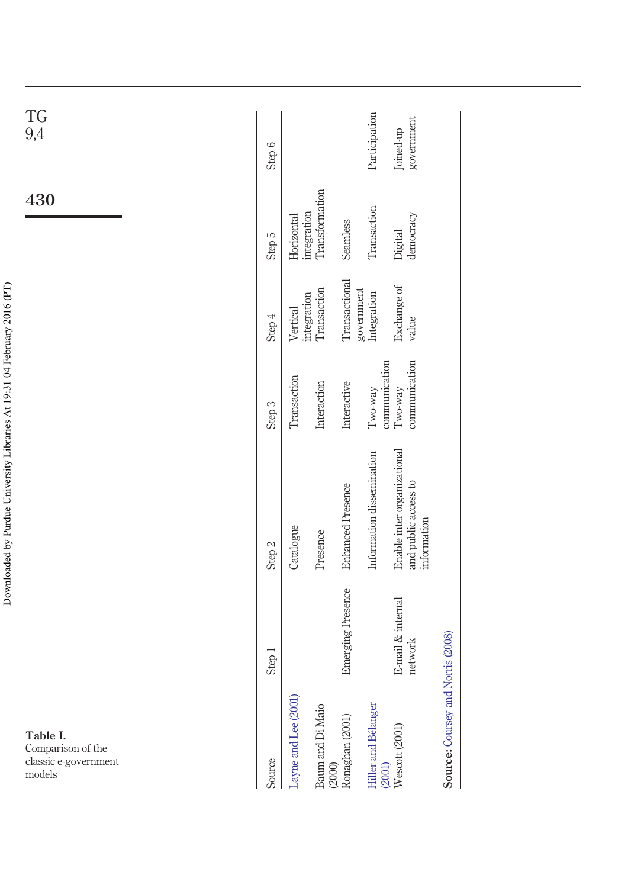| Table I.<br>Comparison of the<br>classic e-government<br>models |                              |                                                                    |                                           |                            | 430                           | $\mathcal{T} \mathcal{G}$ 9,4 |
|-----------------------------------------------------------------|------------------------------|--------------------------------------------------------------------|-------------------------------------------|----------------------------|-------------------------------|-------------------------------|
| Source                                                          | Step 1                       | Step <sub>2</sub>                                                  | Step <sub>3</sub>                         | Step 4                     | Step 5                        | Step 6                        |
| Layne and Lee (2001)                                            |                              | Catalogue                                                          | Transaction                               | Vertical                   | Horizontal                    |                               |
| Baum and Di Maio<br>(2000)                                      |                              | Presence                                                           | Interaction                               | Transaction<br>integration | Transformation<br>integration |                               |
| Ronaghan (2001)                                                 | Emerging Presence            | <b>Enhanced Presence</b>                                           | Interactive                               | Transactional              | Seamless                      |                               |
| Hiller and Bélanger                                             |                              | Information dissemination                                          | Two-way                                   | government<br>Integration  | Transaction                   | Participation                 |
| Wescott (2001)<br>(2001)                                        | E-mail & internal<br>network | Enable inter organizational<br>and public access to<br>information | communication<br>communication<br>Two-way | Exchange of<br>value       | democracy<br>Digital          | government<br>Joined-up       |
| Source: Coursey and Norris (2008)                               |                              |                                                                    |                                           |                            |                               |                               |

Downloaded by Purdue University Libraries At 19:31 04 February 2016 (PT) Downloaded by Purdue University Libraries At 19:31 04 February 2016 (PT)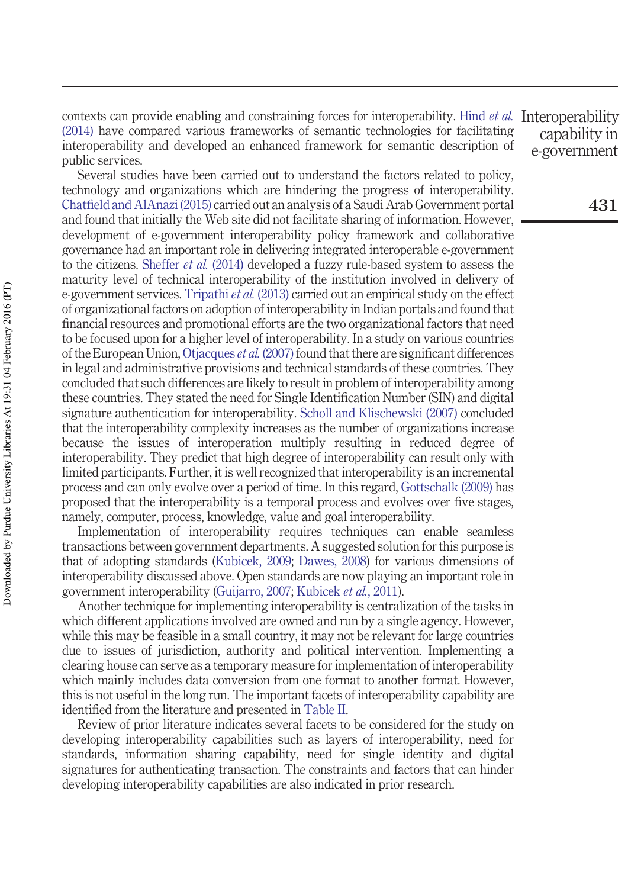contexts can provide enabling and constraining forces for interoperability. Hind *et al.* (2014) have compared various frameworks of semantic technologies for facilitating interoperability and developed an enhanced framework for semantic description of public services.

Several studies have been carried out to understand the factors related to policy, technology and organizations which are hindering the progress of interoperability. Chatfield and AlAnazi (2015) carried out an analysis of a Saudi Arab Government portal and found that initially the Web site did not facilitate sharing of information. However, development of e-government interoperability policy framework and collaborative governance had an important role in delivering integrated interoperable e-government to the citizens. Sheffer *et al.* (2014) developed a fuzzy rule-based system to assess the maturity level of technical interoperability of the institution involved in delivery of e-government services. Tripathi *et al.* (2013) carried out an empirical study on the effect of organizational factors on adoption of interoperability in Indian portals and found that financial resources and promotional efforts are the two organizational factors that need to be focused upon for a higher level of interoperability. In a study on various countries of the European Union,Otjacques *et al.* (2007) found that there are significant differences in legal and administrative provisions and technical standards of these countries. They concluded that such differences are likely to result in problem of interoperability among these countries. They stated the need for Single Identification Number (SIN) and digital signature authentication for interoperability. Scholl and Klischewski (2007) concluded that the interoperability complexity increases as the number of organizations increase because the issues of interoperation multiply resulting in reduced degree of interoperability. They predict that high degree of interoperability can result only with limited participants. Further, it is well recognized that interoperability is an incremental process and can only evolve over a period of time. In this regard, Gottschalk (2009) has proposed that the interoperability is a temporal process and evolves over five stages, namely, computer, process, knowledge, value and goal interoperability.

Implementation of interoperability requires techniques can enable seamless transactions between government departments. A suggested solution for this purpose is that of adopting standards (Kubicek, 2009; Dawes, 2008) for various dimensions of interoperability discussed above. Open standards are now playing an important role in government interoperability (Guijarro, 2007; Kubicek *et al.*, 2011).

Another technique for implementing interoperability is centralization of the tasks in which different applications involved are owned and run by a single agency. However, while this may be feasible in a small country, it may not be relevant for large countries due to issues of jurisdiction, authority and political intervention. Implementing a clearing house can serve as a temporary measure for implementation of interoperability which mainly includes data conversion from one format to another format. However, this is not useful in the long run. The important facets of interoperability capability are identified from the literature and presented in Table II.

Review of prior literature indicates several facets to be considered for the study on developing interoperability capabilities such as layers of interoperability, need for standards, information sharing capability, need for single identity and digital signatures for authenticating transaction. The constraints and factors that can hinder developing interoperability capabilities are also indicated in prior research.

**Interoperability** capability in e-government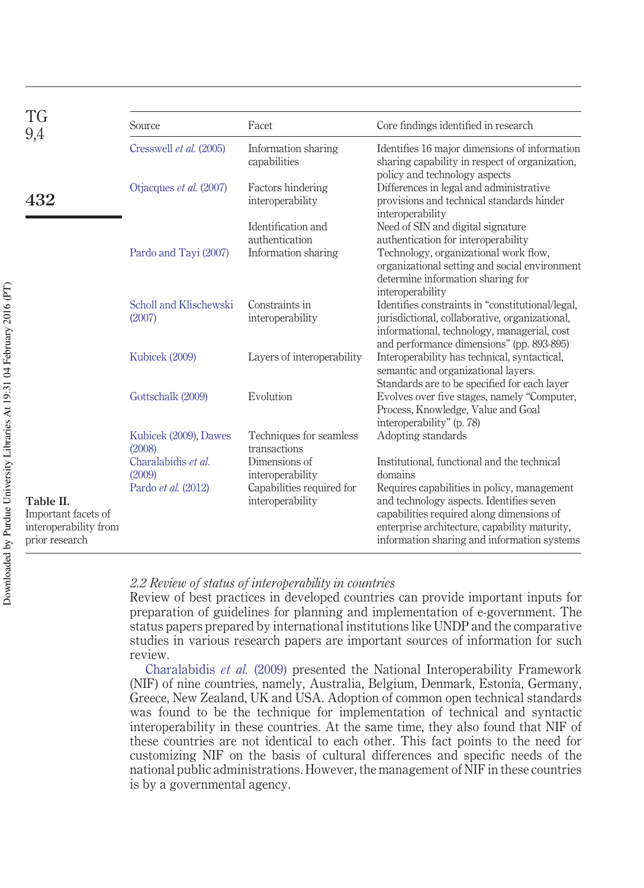| TG                                                                          |                                  |                                                             |                                                                                                                                                                                                                                      |
|-----------------------------------------------------------------------------|----------------------------------|-------------------------------------------------------------|--------------------------------------------------------------------------------------------------------------------------------------------------------------------------------------------------------------------------------------|
| 9,4                                                                         | Source                           | Facet                                                       | Core findings identified in research                                                                                                                                                                                                 |
|                                                                             | Cresswell et al. (2005)          | Information sharing<br>capabilities                         | Identifies 16 major dimensions of information<br>sharing capability in respect of organization,<br>policy and technology aspects                                                                                                     |
| 432                                                                         | Otjacques et al. (2007)          | Factors hindering<br>interoperability                       | Differences in legal and administrative<br>provisions and technical standards hinder<br>interoperability                                                                                                                             |
|                                                                             | Pardo and Tayi (2007)            | Identification and<br>authentication<br>Information sharing | Need of SIN and digital signature<br>authentication for interoperability<br>Technology, organizational work flow,<br>organizational setting and social environment<br>determine information sharing for                              |
|                                                                             | Scholl and Klischewski<br>(2007) | Constraints in<br>interoperability                          | interoperability<br>Identifies constraints in "constitutional/legal,<br>jurisdictional, collaborative, organizational,<br>informational, technology, managerial, cost<br>and performance dimensions" (pp. 893-895)                   |
|                                                                             | Kubicek (2009)                   | Layers of interoperability                                  | Interoperability has technical, syntactical,<br>semantic and organizational layers.<br>Standards are to be specified for each layer                                                                                                  |
|                                                                             | Gottschalk (2009)                | Evolution                                                   | Evolves over five stages, namely "Computer,<br>Process, Knowledge, Value and Goal<br>interoperability" (p. 78)                                                                                                                       |
|                                                                             | Kubicek (2009), Dawes<br>(2008)  | Techniques for seamless<br>transactions                     | Adopting standards                                                                                                                                                                                                                   |
|                                                                             | Charalabidis et al.<br>(2009)    | Dimensions of<br>interoperability                           | Institutional, functional and the technical<br>domains                                                                                                                                                                               |
| Table II.<br>Important facets of<br>interoperability from<br>prior research | Pardo et al. (2012)              | Capabilities required for<br>interoperability               | Requires capabilities in policy, management<br>and technology aspects. Identifies seven<br>capabilities required along dimensions of<br>enterprise architecture, capability maturity,<br>information sharing and information systems |

#### *2.2 Review of status of interoperability in countries*

Review of best practices in developed countries can provide important inputs for preparation of guidelines for planning and implementation of e-government. The status papers prepared by international institutions like UNDP and the comparative studies in various research papers are important sources of information for such review.

Charalabidis *et al.* (2009) presented the National Interoperability Framework (NIF) of nine countries, namely, Australia, Belgium, Denmark, Estonia, Germany, Greece, New Zealand, UK and USA. Adoption of common open technical standards was found to be the technique for implementation of technical and syntactic interoperability in these countries. At the same time, they also found that NIF of these countries are not identical to each other. This fact points to the need for customizing NIF on the basis of cultural differences and specific needs of the national public administrations. However, the management of NIF in these countries is by a governmental agency.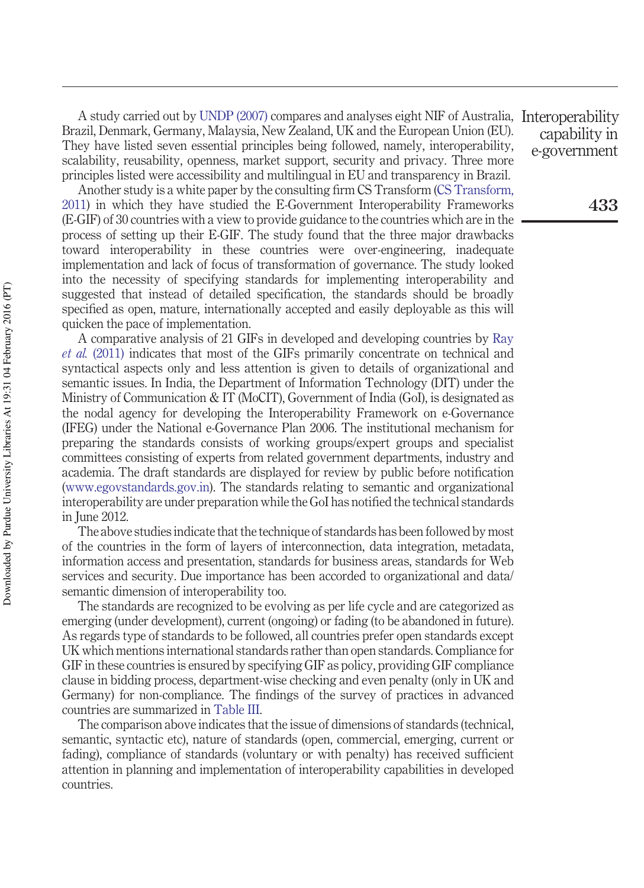A study carried out by UNDP (2007) compares and analyses eight NIF of Australia, Interoperability Brazil, Denmark, Germany, Malaysia, New Zealand, UK and the European Union (EU). They have listed seven essential principles being followed, namely, interoperability, scalability, reusability, openness, market support, security and privacy. Three more principles listed were accessibility and multilingual in EU and transparency in Brazil.

Another study is a white paper by the consulting firm CS Transform (CS Transform, 2011) in which they have studied the E-Government Interoperability Frameworks (E-GIF) of 30 countries with a view to provide guidance to the countries which are in the process of setting up their E-GIF. The study found that the three major drawbacks toward interoperability in these countries were over-engineering, inadequate implementation and lack of focus of transformation of governance. The study looked into the necessity of specifying standards for implementing interoperability and suggested that instead of detailed specification, the standards should be broadly specified as open, mature, internationally accepted and easily deployable as this will quicken the pace of implementation.

A comparative analysis of 21 GIFs in developed and developing countries by Ray *et al.* (2011) indicates that most of the GIFs primarily concentrate on technical and syntactical aspects only and less attention is given to details of organizational and semantic issues. In India, the Department of Information Technology (DIT) under the Ministry of Communication & IT (MoCIT), Government of India (GoI), is designated as the nodal agency for developing the Interoperability Framework on e-Governance (IFEG) under the National e-Governance Plan 2006. The institutional mechanism for preparing the standards consists of working groups/expert groups and specialist committees consisting of experts from related government departments, industry and academia. The draft standards are displayed for review by public before notification [\(www.egovstandards.gov.in\)](http://www.egovstandards.gov.in). The standards relating to semantic and organizational interoperability are under preparation while the GoI has notified the technical standards in June 2012.

The above studies indicate that the technique of standards has been followed by most of the countries in the form of layers of interconnection, data integration, metadata, information access and presentation, standards for business areas, standards for Web services and security. Due importance has been accorded to organizational and data/ semantic dimension of interoperability too.

The standards are recognized to be evolving as per life cycle and are categorized as emerging (under development), current (ongoing) or fading (to be abandoned in future). As regards type of standards to be followed, all countries prefer open standards except UK which mentions international standards rather than open standards. Compliance for GIF in these countries is ensured by specifying GIF as policy, providing GIF compliance clause in bidding process, department-wise checking and even penalty (only in UK and Germany) for non-compliance. The findings of the survey of practices in advanced countries are summarized in Table III.

The comparison above indicates that the issue of dimensions of standards (technical, semantic, syntactic etc), nature of standards (open, commercial, emerging, current or fading), compliance of standards (voluntary or with penalty) has received sufficient attention in planning and implementation of interoperability capabilities in developed countries.

capability in e-government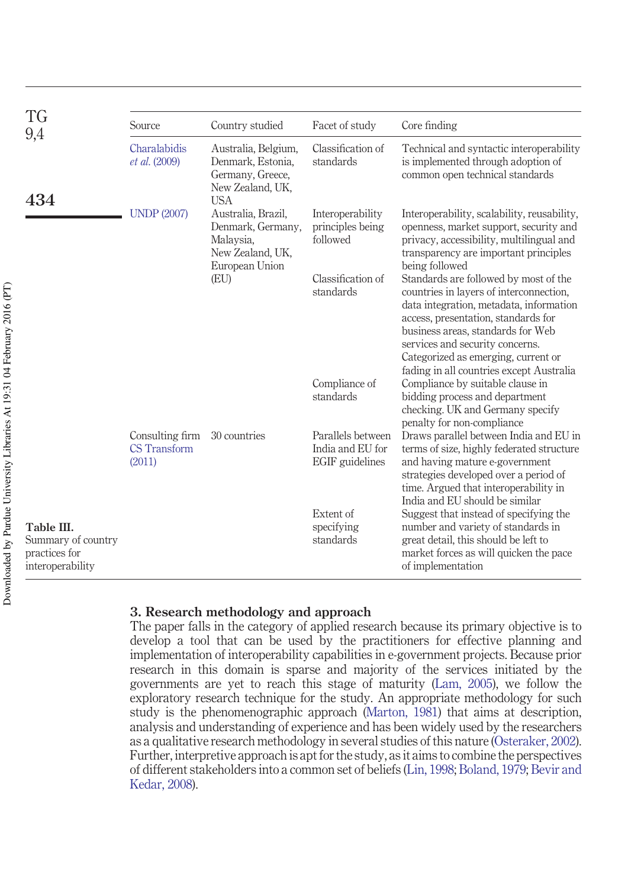| TG                                                                    |                                           |                                                                                                |                                                          |                                                                                                                                                                                                                                                                                                                               |
|-----------------------------------------------------------------------|-------------------------------------------|------------------------------------------------------------------------------------------------|----------------------------------------------------------|-------------------------------------------------------------------------------------------------------------------------------------------------------------------------------------------------------------------------------------------------------------------------------------------------------------------------------|
| 9,4                                                                   | Source                                    | Country studied                                                                                | Facet of study                                           | Core finding                                                                                                                                                                                                                                                                                                                  |
| 434                                                                   | Charalabidis<br>et al. (2009)             | Australia, Belgium,<br>Denmark, Estonia,<br>Germany, Greece,<br>New Zealand, UK,<br><b>USA</b> | Classification of<br>standards                           | Technical and syntactic interoperability<br>is implemented through adoption of<br>common open technical standards                                                                                                                                                                                                             |
|                                                                       | <b>UNDP</b> (2007)                        | Australia, Brazil,<br>Denmark, Germany,<br>Malaysia,<br>New Zealand, UK,<br>European Union     | Interoperability<br>principles being<br>followed         | Interoperability, scalability, reusability,<br>openness, market support, security and<br>privacy, accessibility, multilingual and<br>transparency are important principles<br>being followed                                                                                                                                  |
|                                                                       |                                           | (EU)                                                                                           | Classification of<br>standards                           | Standards are followed by most of the<br>countries in layers of interconnection,<br>data integration, metadata, information<br>access, presentation, standards for<br>business areas, standards for Web<br>services and security concerns.<br>Categorized as emerging, current or<br>fading in all countries except Australia |
|                                                                       |                                           |                                                                                                | Compliance of<br>standards                               | Compliance by suitable clause in<br>bidding process and department<br>checking. UK and Germany specify<br>penalty for non-compliance                                                                                                                                                                                          |
|                                                                       | Consulting firm<br>CS Transform<br>(2011) | 30 countries                                                                                   | Parallels between<br>India and EU for<br>EGIF guidelines | Draws parallel between India and EU in<br>terms of size, highly federated structure<br>and having mature e-government<br>strategies developed over a period of<br>time. Argued that interoperability in<br>India and EU should be similar                                                                                     |
| Table III.<br>Summary of country<br>practices for<br>interoperability |                                           |                                                                                                | Extent of<br>specifying<br>standards                     | Suggest that instead of specifying the<br>number and variety of standards in<br>great detail, this should be left to<br>market forces as will quicken the pace<br>of implementation                                                                                                                                           |

#### **3. Research methodology and approach**

The paper falls in the category of applied research because its primary objective is to develop a tool that can be used by the practitioners for effective planning and implementation of interoperability capabilities in e-government projects. Because prior research in this domain is sparse and majority of the services initiated by the governments are yet to reach this stage of maturity (Lam, 2005), we follow the exploratory research technique for the study. An appropriate methodology for such study is the phenomenographic approach (Marton, 1981) that aims at description, analysis and understanding of experience and has been widely used by the researchers as a qualitative research methodology in several studies of this nature (Osteraker, 2002). Further, interpretive approach is apt for the study, as it aims to combine the perspectives of different stakeholders into a common set of beliefs (Lin, 1998; Boland, 1979; Bevir and Kedar, 2008).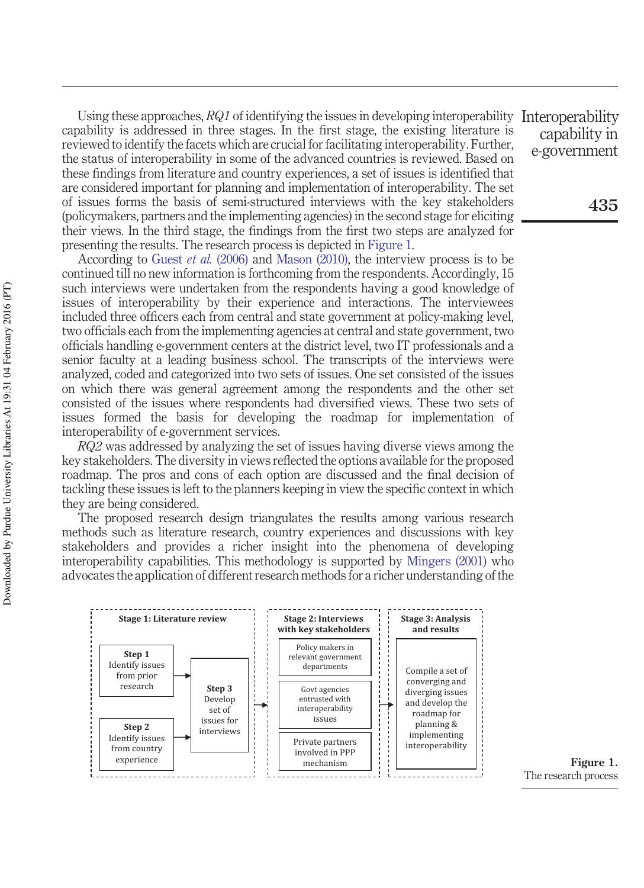Using these approaches, *RQ1* of identifying the issues in developing interoperability Interoperability capability is addressed in three stages. In the first stage, the existing literature is reviewed to identify the facets which are crucial for facilitating interoperability. Further, the status of interoperability in some of the advanced countries is reviewed. Based on these findings from literature and country experiences, a set of issues is identified that are considered important for planning and implementation of interoperability. The set of issues forms the basis of semi-structured interviews with the key stakeholders (policymakers, partners and the implementing agencies) in the second stage for eliciting their views. In the third stage, the findings from the first two steps are analyzed for presenting the results. The research process is depicted in Figure 1.

According to Guest *et al.* (2006) and Mason (2010), the interview process is to be continued till no new information is forthcoming from the respondents. Accordingly, 15 such interviews were undertaken from the respondents having a good knowledge of issues of interoperability by their experience and interactions. The interviewees included three officers each from central and state government at policy-making level, two officials each from the implementing agencies at central and state government, two officials handling e-government centers at the district level, two IT professionals and a senior faculty at a leading business school. The transcripts of the interviews were analyzed, coded and categorized into two sets of issues. One set consisted of the issues on which there was general agreement among the respondents and the other set consisted of the issues where respondents had diversified views. These two sets of issues formed the basis for developing the roadmap for implementation of interoperability of e-government services.

*RQ2* was addressed by analyzing the set of issues having diverse views among the key stakeholders. The diversity in views reflected the options available for the proposed roadmap. The pros and cons of each option are discussed and the final decision of tackling these issues is left to the planners keeping in view the specific context in which they are being considered.

The proposed research design triangulates the results among various research methods such as literature research, country experiences and discussions with key stakeholders and provides a richer insight into the phenomena of developing interoperability capabilities. This methodology is supported by Mingers (2001) who advocates the application of different research methods for a richer understanding of the



capability in e-government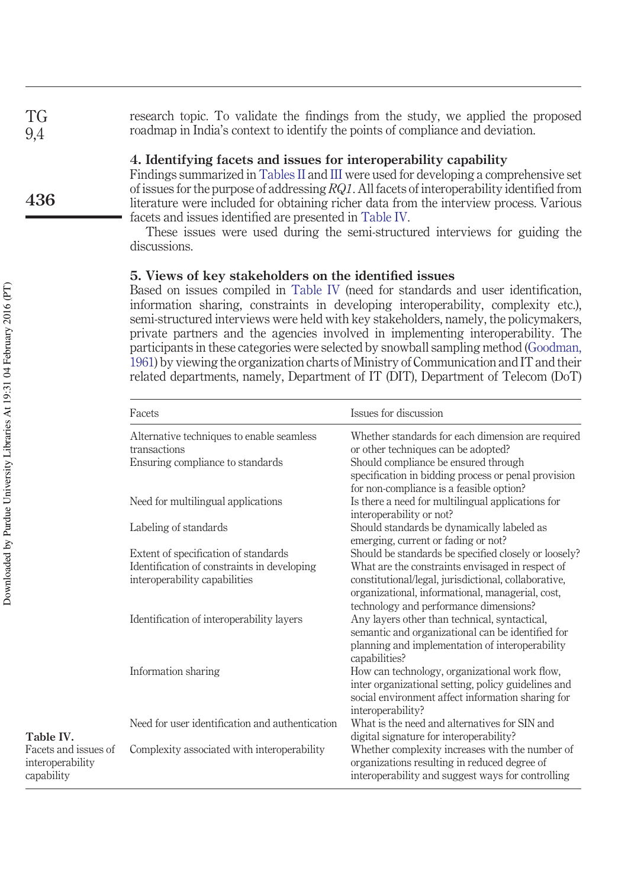|                                                                                |  |  |  |  |  | research topic. To validate the findings from the study, we applied the proposed |
|--------------------------------------------------------------------------------|--|--|--|--|--|----------------------------------------------------------------------------------|
| roadmap in India's context to identify the points of compliance and deviation. |  |  |  |  |  |                                                                                  |

#### **4. Identifying facets and issues for interoperability capability**

Findings summarized in Tables II and III were used for developing a comprehensive set of issues for the purpose of addressing *RQ1*. All facets of interoperability identified from literature were included for obtaining richer data from the interview process. Various facets and issues identified are presented in Table IV.

These issues were used during the semi-structured interviews for guiding the discussions.

#### **5. Views of key stakeholders on the identified issues**

Based on issues compiled in Table IV (need for standards and user identification, information sharing, constraints in developing interoperability, complexity etc.), semi-structured interviews were held with key stakeholders, namely, the policymakers, private partners and the agencies involved in implementing interoperability. The participants in these categories were selected by snowball sampling method (Goodman, 1961) by viewing the organization charts of Ministry of Communication and IT and their related departments, namely, Department of IT (DIT), Department of Telecom (DoT)

|                                                        | Facets                                                                                                               | Issues for discussion                                                                                                                                                                                                                                          |
|--------------------------------------------------------|----------------------------------------------------------------------------------------------------------------------|----------------------------------------------------------------------------------------------------------------------------------------------------------------------------------------------------------------------------------------------------------------|
|                                                        | Alternative techniques to enable seamless<br>transactions<br>Ensuring compliance to standards                        | Whether standards for each dimension are required<br>or other techniques can be adopted?<br>Should compliance be ensured through<br>specification in bidding process or penal provision<br>for non-compliance is a feasible option?                            |
|                                                        | Need for multilingual applications                                                                                   | Is there a need for multilingual applications for<br>interoperability or not?                                                                                                                                                                                  |
|                                                        | Labeling of standards                                                                                                | Should standards be dynamically labeled as<br>emerging, current or fading or not?                                                                                                                                                                              |
|                                                        | Extent of specification of standards<br>Identification of constraints in developing<br>interoperability capabilities | Should be standards be specified closely or loosely?<br>What are the constraints envisaged in respect of<br>constitutional/legal, jurisdictional, collaborative,<br>organizational, informational, managerial, cost,<br>technology and performance dimensions? |
|                                                        | Identification of interoperability layers                                                                            | Any layers other than technical, syntactical,<br>semantic and organizational can be identified for<br>planning and implementation of interoperability<br>capabilities?                                                                                         |
|                                                        | Information sharing                                                                                                  | How can technology, organizational work flow,<br>inter organizational setting, policy guidelines and<br>social environment affect information sharing for<br>interoperability?                                                                                 |
| Table IV.                                              | Need for user identification and authentication                                                                      | What is the need and alternatives for SIN and<br>digital signature for interoperability?                                                                                                                                                                       |
| Facets and issues of<br>interoperability<br>capability | Complexity associated with interoperability                                                                          | Whether complexity increases with the number of<br>organizations resulting in reduced degree of<br>interoperability and suggest ways for controlling                                                                                                           |

TG 9,4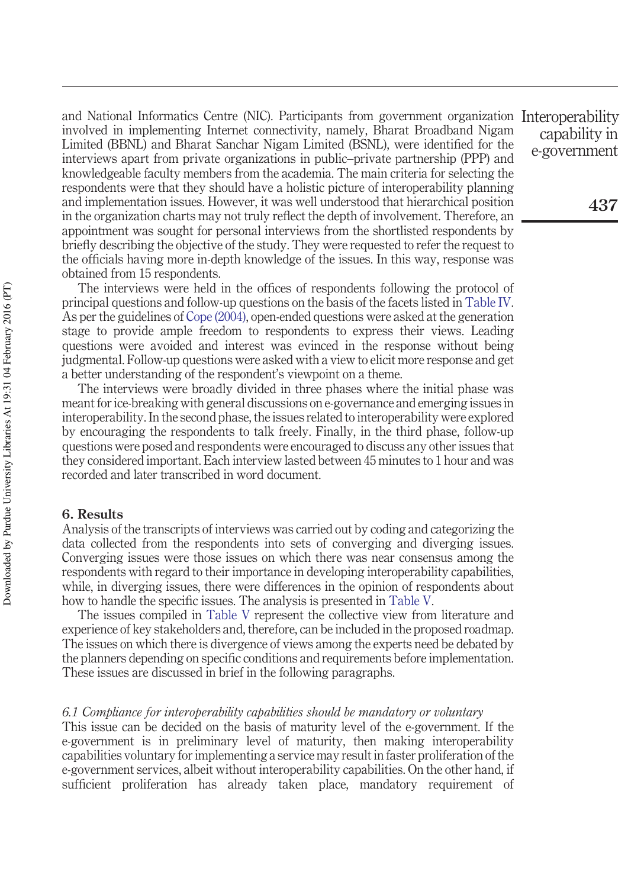and National Informatics Centre (NIC). Participants from government organization Interoperability involved in implementing Internet connectivity, namely, Bharat Broadband Nigam Limited (BBNL) and Bharat Sanchar Nigam Limited (BSNL), were identified for the interviews apart from private organizations in public–private partnership (PPP) and knowledgeable faculty members from the academia. The main criteria for selecting the respondents were that they should have a holistic picture of interoperability planning and implementation issues. However, it was well understood that hierarchical position in the organization charts may not truly reflect the depth of involvement. Therefore, an appointment was sought for personal interviews from the shortlisted respondents by briefly describing the objective of the study. They were requested to refer the request to the officials having more in-depth knowledge of the issues. In this way, response was obtained from 15 respondents.

The interviews were held in the offices of respondents following the protocol of principal questions and follow-up questions on the basis of the facets listed in Table IV. As per the guidelines of Cope (2004), open-ended questions were asked at the generation stage to provide ample freedom to respondents to express their views. Leading questions were avoided and interest was evinced in the response without being judgmental. Follow-up questions were asked with a view to elicit more response and get a better understanding of the respondent's viewpoint on a theme.

The interviews were broadly divided in three phases where the initial phase was meant for ice-breaking with general discussions on e-governance and emerging issues in interoperability. In the second phase, the issues related to interoperability were explored by encouraging the respondents to talk freely. Finally, in the third phase, follow-up questions were posed and respondents were encouraged to discuss any other issues that they considered important. Each interview lasted between 45 minutes to 1 hour and was recorded and later transcribed in word document.

#### **6. Results**

Analysis of the transcripts of interviews was carried out by coding and categorizing the data collected from the respondents into sets of converging and diverging issues. Converging issues were those issues on which there was near consensus among the respondents with regard to their importance in developing interoperability capabilities, while, in diverging issues, there were differences in the opinion of respondents about how to handle the specific issues. The analysis is presented in Table V.

The issues compiled in Table V represent the collective view from literature and experience of key stakeholders and, therefore, can be included in the proposed roadmap. The issues on which there is divergence of views among the experts need be debated by the planners depending on specific conditions and requirements before implementation. These issues are discussed in brief in the following paragraphs.

#### *6.1 Compliance for interoperability capabilities should be mandatory or voluntary*

This issue can be decided on the basis of maturity level of the e-government. If the e-government is in preliminary level of maturity, then making interoperability capabilities voluntary for implementing a service may result in faster proliferation of the e-government services, albeit without interoperability capabilities. On the other hand, if sufficient proliferation has already taken place, mandatory requirement of

capability in e-government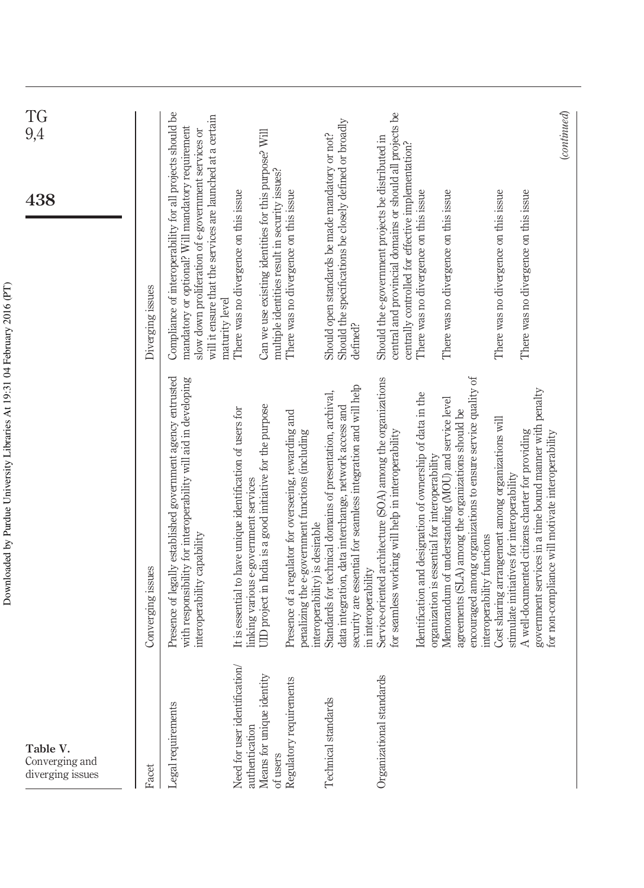| TG<br>9,4                                      |                   |                                                                                                                                                                                                                                                       |                                                                                                     |                                                                                                         |                                                                                                                                             |                                                                                                                                                                                                              |                                                                                                                                                                      |                                                                                                              |                                                                                                                                                                                                        |                                                                                                 | (continued)                                                                                                                                                      |
|------------------------------------------------|-------------------|-------------------------------------------------------------------------------------------------------------------------------------------------------------------------------------------------------------------------------------------------------|-----------------------------------------------------------------------------------------------------|---------------------------------------------------------------------------------------------------------|---------------------------------------------------------------------------------------------------------------------------------------------|--------------------------------------------------------------------------------------------------------------------------------------------------------------------------------------------------------------|----------------------------------------------------------------------------------------------------------------------------------------------------------------------|--------------------------------------------------------------------------------------------------------------|--------------------------------------------------------------------------------------------------------------------------------------------------------------------------------------------------------|-------------------------------------------------------------------------------------------------|------------------------------------------------------------------------------------------------------------------------------------------------------------------|
| 438                                            | Diverging issues  | Compliance of interoperability for all projects should be<br>will it ensure that the services are launched at a certain<br>mandatory or optional? Will mandatory requirement<br>slow down proliferation of e-government services or<br>maturity level | There was no divergence on this issue                                                               | Can we use existing identities for this purpose? Will<br>multiple identities result in security issues? | There was no divergence on this issue                                                                                                       | Should the specifications be closely defined or broadly<br>Should open standards be made mandatory or not?<br>defined?                                                                                       | central and provincial domains or should all projects be<br>Should the e-government projects be distributed in<br>centrally controlled for effective implementation? | There was no divergence on this issue                                                                        | There was no divergence on this issue                                                                                                                                                                  | There was no divergence on this issue                                                           | There was no divergence on this issue                                                                                                                            |
|                                                | Converging issues | Presence of legally established government agency entrusted<br>with responsibility for interoperability will aid in developing<br>interoperability capability                                                                                         | It is essential to have unique identification of users for<br>linking various e-government services | UID project in India is a good initiative for the purpose                                               | Presence of a regulator for overseeing, rewarding and<br>penalizing the e-government functions (including<br>interoperability) is desirable | security are essential for seamless integration and will help<br>Standards for technical domains of presentation, archival,<br>data integration, data interchange, network access and<br>in interoperability | Service-oriented architecture (SOA) among the organizations<br>for seamless working will help in interoperability                                                    | Identification and designation of ownership of data in the<br>organization is essential for interoperability | encouraged among organizations to ensure service quality of<br>Memorandum of understanding (MOU) and service level<br>agreements (SLA) among the organizations should be<br>interoperability functions | Cost sharing arrangement among organizations will<br>stimulate initiatives for interoperability | government services in a time bound manner with penalty<br>A well-documented citizens charter for providing<br>for non-compliance will motivate interoperability |
| Table V.<br>Converging and<br>diverging issues | Facet             | Legal requirements                                                                                                                                                                                                                                    | Need for user identification/<br>authentication                                                     | Means for unique identity<br>of users                                                                   | Regulatory requirements                                                                                                                     | Technical standards                                                                                                                                                                                          | S<br>Organizational standard                                                                                                                                         |                                                                                                              |                                                                                                                                                                                                        |                                                                                                 |                                                                                                                                                                  |

Downloaded by Purdue University Libraries At 19:31 04 February 2016 (PT) Downloaded by Purdue University Libraries At 19:31 04 February 2016 (PT)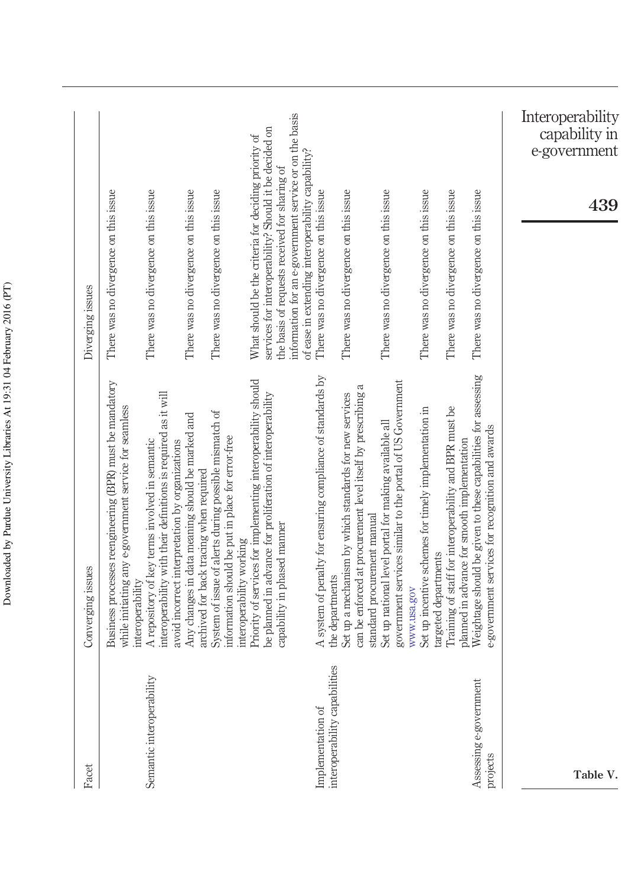| Facet                                              | Converging issues                                                                                                                                     | Diverging issues                                                                                             |
|----------------------------------------------------|-------------------------------------------------------------------------------------------------------------------------------------------------------|--------------------------------------------------------------------------------------------------------------|
|                                                    | Business processes reengineering (BPR) must be mandatory<br>while initiating any e-government service for seamless                                    | There was no divergence on this issue                                                                        |
| Semantic interoperability                          | interoperability with their definitions is required as it will<br>A repository of key terms involved in semantic<br>interoperability                  | There was no divergence on this issue                                                                        |
|                                                    | Any changes in data meaning should be marked and<br>avoid incorrect interpretation by organizations<br>archived for back tracing when required        | There was no divergence on this issue                                                                        |
|                                                    | System of issue of alerts during possible mismatch of<br>information should be put in place for error-free                                            | There was no divergence on this issue                                                                        |
|                                                    | Priority of services for implementing interoperability should<br>interoperability working                                                             | What should be the criteria for deciding priority of                                                         |
|                                                    | be planned in advance for proliferation of interoperability<br>capability in phased manner                                                            | services for interoperability? Should it be decided on<br>the basis of requests received for sharing of      |
|                                                    |                                                                                                                                                       | information for an e-government service or on the basis<br>of ease in extending interoperability capability? |
| interoperability capabilities<br>Implementation of | A system of penalty for ensuring compliance of standards by<br>the departments                                                                        | There was no divergence on this issue                                                                        |
|                                                    | can be enforced at procurement level itself by prescribing a<br>Set up a mechanism by which standards for new services<br>standard procurement manual | There was no divergence on this issue                                                                        |
|                                                    | government services similar to the portal of US Government<br>Set up national level portal for making available all                                   | There was no divergence on this issue                                                                        |
|                                                    | Set up incentive schemes for timely implementation in<br>targeted departments<br>www.usa.gov                                                          | There was no divergence on this issue                                                                        |
|                                                    | Training of staff for interoperability and BPR must be<br>planned in advance for smooth implementation                                                | There was no divergence on this issue                                                                        |
| Assessing e-government<br>projects                 | Weightage should be given to these capabilities for assessing<br>e-government services for recognition and awards                                     | There was no divergence on this issue                                                                        |
|                                                    |                                                                                                                                                       |                                                                                                              |
| Table V.                                           |                                                                                                                                                       | Interoperability<br>capability in<br>e-government<br>439                                                     |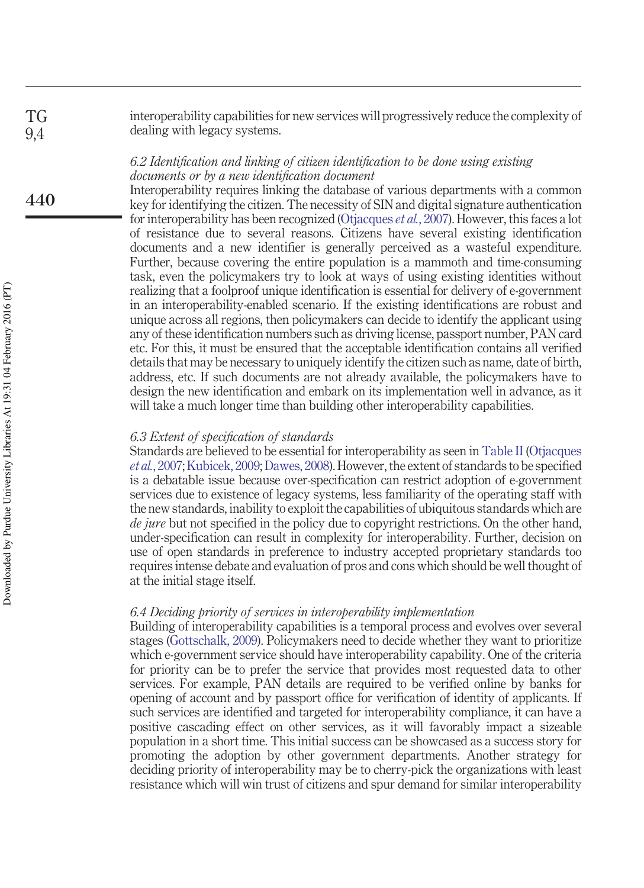interoperability capabilities for new services will progressively reduce the complexity of dealing with legacy systems.

#### *6.2 Identification and linking of citizen identification to be done using existing documents or by a new identification document*

Interoperability requires linking the database of various departments with a common key for identifying the citizen. The necessity of SIN and digital signature authentication for interoperability has been recognized (Otjacques *et al.*, 2007). However, this faces a lot of resistance due to several reasons. Citizens have several existing identification documents and a new identifier is generally perceived as a wasteful expenditure. Further, because covering the entire population is a mammoth and time-consuming task, even the policymakers try to look at ways of using existing identities without realizing that a foolproof unique identification is essential for delivery of e-government in an interoperability-enabled scenario. If the existing identifications are robust and unique across all regions, then policymakers can decide to identify the applicant using any of these identification numbers such as driving license, passport number, PAN card etc. For this, it must be ensured that the acceptable identification contains all verified details that may be necessary to uniquely identify the citizen such as name, date of birth, address, etc. If such documents are not already available, the policymakers have to design the new identification and embark on its implementation well in advance, as it will take a much longer time than building other interoperability capabilities.

#### *6.3 Extent of specification of standards*

Standards are believed to be essential for interoperability as seen in Table II (Otjacques *et al.*, 2007; Kubicek, 2009; Dawes, 2008). However, the extent of standards to be specified is a debatable issue because over-specification can restrict adoption of e-government services due to existence of legacy systems, less familiarity of the operating staff with the new standards, inability to exploit the capabilities of ubiquitous standards which are *de jure* but not specified in the policy due to copyright restrictions. On the other hand, under-specification can result in complexity for interoperability. Further, decision on use of open standards in preference to industry accepted proprietary standards too requires intense debate and evaluation of pros and cons which should be well thought of at the initial stage itself.

#### *6.4 Deciding priority of services in interoperability implementation*

Building of interoperability capabilities is a temporal process and evolves over several stages (Gottschalk, 2009). Policymakers need to decide whether they want to prioritize which e-government service should have interoperability capability. One of the criteria for priority can be to prefer the service that provides most requested data to other services. For example, PAN details are required to be verified online by banks for opening of account and by passport office for verification of identity of applicants. If such services are identified and targeted for interoperability compliance, it can have a positive cascading effect on other services, as it will favorably impact a sizeable population in a short time. This initial success can be showcased as a success story for promoting the adoption by other government departments. Another strategy for deciding priority of interoperability may be to cherry-pick the organizations with least resistance which will win trust of citizens and spur demand for similar interoperability

TG 9,4

**440**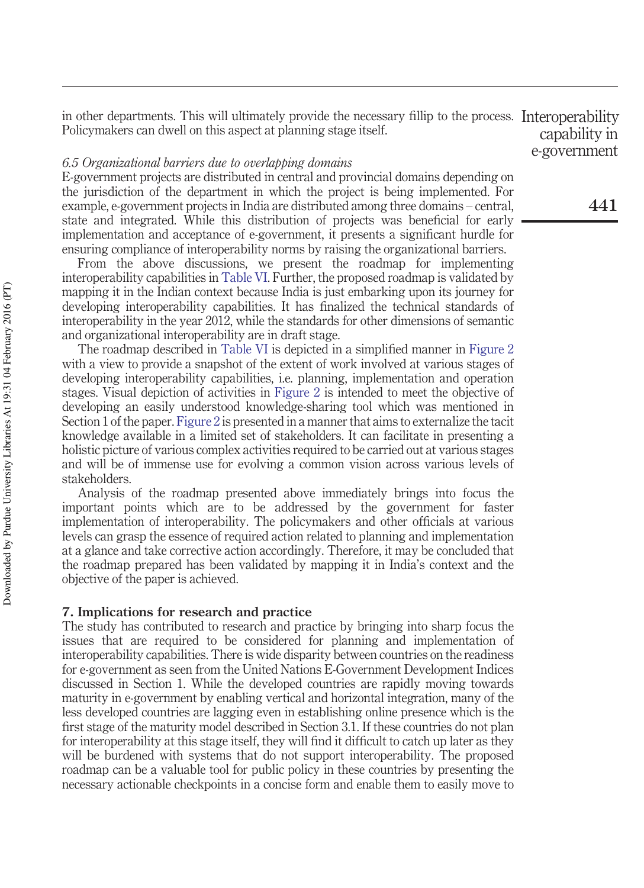in other departments. This will ultimately provide the necessary fillip to the process. Interoperability Policymakers can dwell on this aspect at planning stage itself. capability in

*6.5 Organizational barriers due to overlapping domains*

E-government projects are distributed in central and provincial domains depending on the jurisdiction of the department in which the project is being implemented. For example, e-government projects in India are distributed among three domains – central, state and integrated. While this distribution of projects was beneficial for early implementation and acceptance of e-government, it presents a significant hurdle for ensuring compliance of interoperability norms by raising the organizational barriers.

From the above discussions, we present the roadmap for implementing interoperability capabilities in Table VI. Further, the proposed roadmap is validated by mapping it in the Indian context because India is just embarking upon its journey for developing interoperability capabilities. It has finalized the technical standards of interoperability in the year 2012, while the standards for other dimensions of semantic and organizational interoperability are in draft stage.

The roadmap described in Table VI is depicted in a simplified manner in Figure 2 with a view to provide a snapshot of the extent of work involved at various stages of developing interoperability capabilities, i.e. planning, implementation and operation stages. Visual depiction of activities in Figure 2 is intended to meet the objective of developing an easily understood knowledge-sharing tool which was mentioned in Section 1 of the paper. Figure 2 is presented in a manner that aims to externalize the tacit knowledge available in a limited set of stakeholders. It can facilitate in presenting a holistic picture of various complex activities required to be carried out at various stages and will be of immense use for evolving a common vision across various levels of stakeholders.

Analysis of the roadmap presented above immediately brings into focus the important points which are to be addressed by the government for faster implementation of interoperability. The policymakers and other officials at various levels can grasp the essence of required action related to planning and implementation at a glance and take corrective action accordingly. Therefore, it may be concluded that the roadmap prepared has been validated by mapping it in India's context and the objective of the paper is achieved.

#### **7. Implications for research and practice**

The study has contributed to research and practice by bringing into sharp focus the issues that are required to be considered for planning and implementation of interoperability capabilities. There is wide disparity between countries on the readiness for e-government as seen from the United Nations E-Government Development Indices discussed in Section 1. While the developed countries are rapidly moving towards maturity in e-government by enabling vertical and horizontal integration, many of the less developed countries are lagging even in establishing online presence which is the first stage of the maturity model described in Section 3.1. If these countries do not plan for interoperability at this stage itself, they will find it difficult to catch up later as they will be burdened with systems that do not support interoperability. The proposed roadmap can be a valuable tool for public policy in these countries by presenting the necessary actionable checkpoints in a concise form and enable them to easily move to **441**

e-government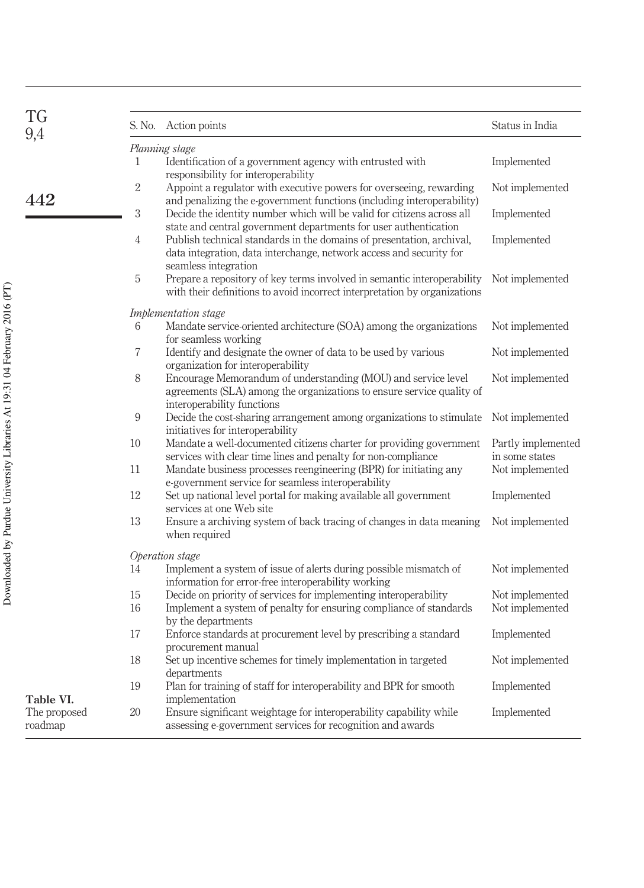| <b>TG</b><br>9,4                     | S. No. | Action points                                                                                                                                                        | Status in India                      |
|--------------------------------------|--------|----------------------------------------------------------------------------------------------------------------------------------------------------------------------|--------------------------------------|
|                                      |        | Planning stage                                                                                                                                                       |                                      |
|                                      | 1      | Identification of a government agency with entrusted with<br>responsibility for interoperability                                                                     | Implemented                          |
| 442                                  | 2      | Appoint a regulator with executive powers for overseeing, rewarding<br>and penalizing the e-government functions (including interoperability)                        | Not implemented                      |
|                                      | 3      | Decide the identity number which will be valid for citizens across all<br>state and central government departments for user authentication                           | Implemented                          |
|                                      | 4      | Publish technical standards in the domains of presentation, archival,<br>data integration, data interchange, network access and security for<br>seamless integration | Implemented                          |
|                                      | 5      | Prepare a repository of key terms involved in semantic interoperability<br>with their definitions to avoid incorrect interpretation by organizations                 | Not implemented                      |
|                                      |        | <i>Implementation stage</i>                                                                                                                                          |                                      |
|                                      | 6      | Mandate service-oriented architecture (SOA) among the organizations<br>for seamless working                                                                          | Not implemented                      |
|                                      | 7      | Identify and designate the owner of data to be used by various<br>organization for interoperability                                                                  | Not implemented                      |
|                                      | 8      | Encourage Memorandum of understanding (MOU) and service level<br>agreements (SLA) among the organizations to ensure service quality of<br>interoperability functions | Not implemented                      |
|                                      | 9      | Decide the cost-sharing arrangement among organizations to stimulate<br>initiatives for interoperability                                                             | Not implemented                      |
|                                      | 10     | Mandate a well-documented citizens charter for providing government<br>services with clear time lines and penalty for non-compliance                                 | Partly implemented<br>in some states |
|                                      | 11     | Mandate business processes reengineering (BPR) for initiating any<br>e-government service for seamless interoperability                                              | Not implemented                      |
|                                      | 12     | Set up national level portal for making available all government<br>services at one Web site                                                                         | Implemented                          |
|                                      | 13     | Ensure a archiving system of back tracing of changes in data meaning<br>when required                                                                                | Not implemented                      |
|                                      |        | Operation stage                                                                                                                                                      |                                      |
|                                      | 14     | Implement a system of issue of alerts during possible mismatch of<br>information for error-free interoperability working                                             | Not implemented                      |
|                                      | 15     | Decide on priority of services for implementing interoperability                                                                                                     | Not implemented                      |
|                                      | 16     | Implement a system of penalty for ensuring compliance of standards<br>by the departments                                                                             | Not implemented                      |
|                                      | 17     | Enforce standards at procurement level by prescribing a standard<br>procurement manual                                                                               | Implemented                          |
|                                      | 18     | Set up incentive schemes for timely implementation in targeted<br>departments                                                                                        | Not implemented                      |
|                                      | 19     | Plan for training of staff for interoperability and BPR for smooth                                                                                                   | Implemented                          |
| Table VI.<br>The proposed<br>roadmap | 20     | implementation<br>Ensure significant weightage for interoperability capability while<br>assessing e-government services for recognition and awards                   | Implemented                          |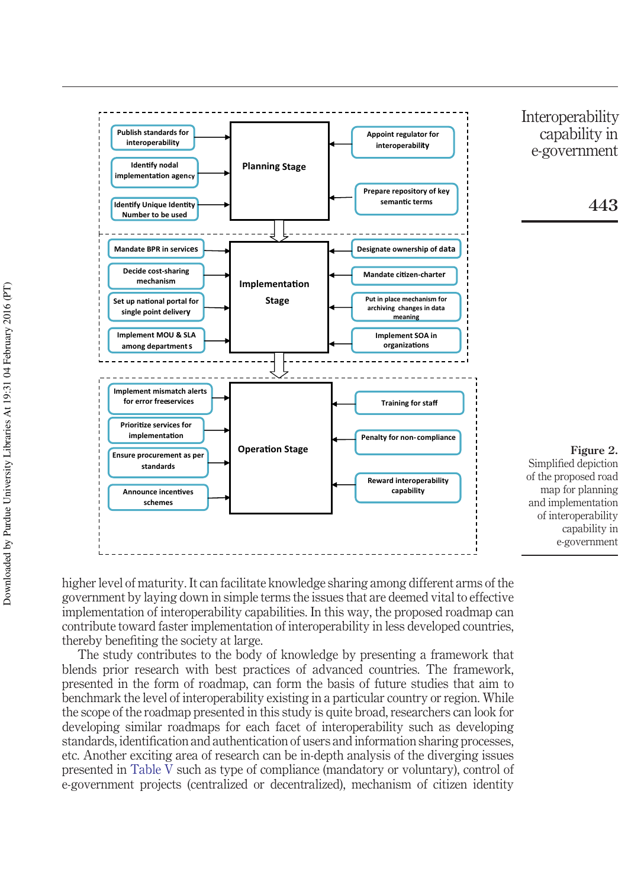

Interoperability capability in e-government

**Figure 2.** Simplified depiction of the proposed road map for planning and implementation of interoperability capability in e-government

higher level of maturity. It can facilitate knowledge sharing among different arms of the government by laying down in simple terms the issues that are deemed vital to effective implementation of interoperability capabilities. In this way, the proposed roadmap can contribute toward faster implementation of interoperability in less developed countries, thereby benefiting the society at large.

The study contributes to the body of knowledge by presenting a framework that blends prior research with best practices of advanced countries. The framework, presented in the form of roadmap, can form the basis of future studies that aim to benchmark the level of interoperability existing in a particular country or region. While the scope of the roadmap presented in this study is quite broad, researchers can look for developing similar roadmaps for each facet of interoperability such as developing standards, identification and authentication of users and information sharing processes, etc. Another exciting area of research can be in-depth analysis of the diverging issues presented in Table V such as type of compliance (mandatory or voluntary), control of e-government projects (centralized or decentralized), mechanism of citizen identity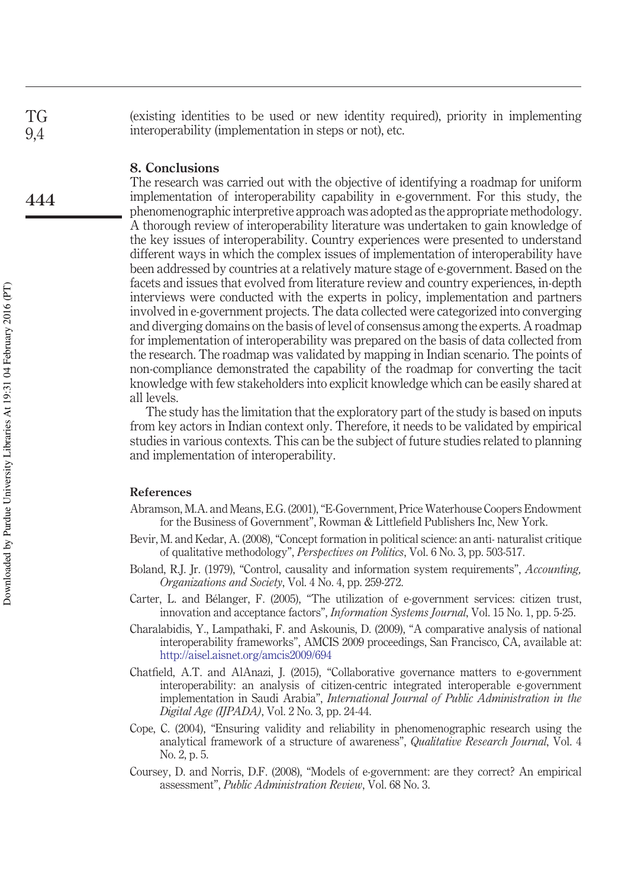(existing identities to be used or new identity required), priority in implementing interoperability (implementation in steps or not), etc.

#### **8. Conclusions**

The research was carried out with the objective of identifying a roadmap for uniform implementation of interoperability capability in e-government. For this study, the phenomenographic interpretive approach was adopted as the appropriate methodology. A thorough review of interoperability literature was undertaken to gain knowledge of the key issues of interoperability. Country experiences were presented to understand different ways in which the complex issues of implementation of interoperability have been addressed by countries at a relatively mature stage of e-government. Based on the facets and issues that evolved from literature review and country experiences, in-depth interviews were conducted with the experts in policy, implementation and partners involved in e-government projects. The data collected were categorized into converging and diverging domains on the basis of level of consensus among the experts. A roadmap for implementation of interoperability was prepared on the basis of data collected from the research. The roadmap was validated by mapping in Indian scenario. The points of non-compliance demonstrated the capability of the roadmap for converting the tacit knowledge with few stakeholders into explicit knowledge which can be easily shared at all levels.

The study has the limitation that the exploratory part of the study is based on inputs from key actors in Indian context only. Therefore, it needs to be validated by empirical studies in various contexts. This can be the subject of future studies related to planning and implementation of interoperability.

#### **References**

- Abramson, M.A. and Means, E.G. (2001), "E-Government, Price Waterhouse Coopers Endowment for the Business of Government", Rowman & Littlefield Publishers Inc, New York.
- Bevir, M. and Kedar, A. (2008), "Concept formation in political science: an anti- naturalist critique of qualitative methodology", *Perspectives on Politics*, Vol. 6 No. 3, pp. 503-517.
- Boland, R.J. Jr. (1979), "Control, causality and information system requirements", *Accounting, Organizations and Society*, Vol. 4 No. 4, pp. 259-272.
- Carter, L. and Bélanger, F. (2005), "The utilization of e-government services: citizen trust, innovation and acceptance factors", *Information Systems Journal*, Vol. 15 No. 1, pp. 5-25.
- Charalabidis, Y., Lampathaki, F. and Askounis, D. (2009), "A comparative analysis of national interoperability frameworks", AMCIS 2009 proceedings, San Francisco, CA, available at: <http://aisel.aisnet.org/amcis2009/694>
- Chatfield, A.T. and AlAnazi, J. (2015), "Collaborative governance matters to e-government interoperability: an analysis of citizen-centric integrated interoperable e-government implementation in Saudi Arabia", *International Journal of Public Administration in the Digital Age (IJPADA)*, Vol. 2 No. 3, pp. 24-44.
- Cope, C. (2004), "Ensuring validity and reliability in phenomenographic research using the analytical framework of a structure of awareness", *Qualitative Research Journal*, Vol. 4 No. 2, p. 5.
- Coursey, D. and Norris, D.F. (2008), "Models of e-government: are they correct? An empirical assessment", *Public Administration Review*, Vol. 68 No. 3.

**444**

TG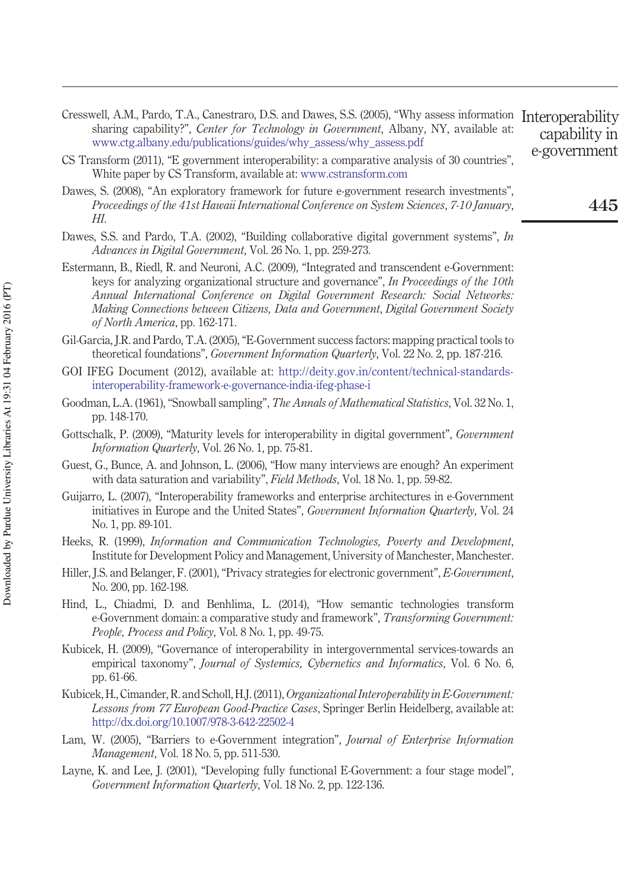- Cresswell, A.M., Pardo, T.A., Canestraro, D.S. and Dawes, S.S. (2005), "Why assess information Interoperability sharing capability?", *Center for Technology in Government*, Albany, NY, available at: [www.ctg.albany.edu/publications/guides/why\\_assess/why\\_assess.pdf](http://www.ctg.albany.edu/publications/guides/why_assess/why_assess.pdf) capability in e-government
- CS Transform (2011), "E government interoperability: a comparative analysis of 30 countries", White paper by CS Transform, available at: [www.cstransform.com](http://www.cstransform.com)
- Dawes, S. (2008), "An exploratory framework for future e-government research investments", *Proceedings of the 41st Hawaii International Conference on System Sciences*, *7-10 January*, *HI*.
- Dawes, S.S. and Pardo, T.A. (2002), "Building collaborative digital government systems", *In Advances in Digital Government*, Vol. 26 No. 1, pp. 259-273.
- Estermann, B., Riedl, R. and Neuroni, A.C. (2009), "Integrated and transcendent e-Government: keys for analyzing organizational structure and governance", *In Proceedings of the 10th Annual International Conference on Digital Government Research: Social Networks: Making Connections between Citizens, Data and Government*, *Digital Government Society of North America*, pp. 162-171.
- Gil-García, J.R. and Pardo, T.A. (2005), "E-Government success factors: mapping practical tools to theoretical foundations", *Government Information Quarterly*, Vol. 22 No. 2, pp. 187-216.
- GOI IFEG Document (2012), available at: [http://deity.gov.in/content/technical-standards](http://deity.gov.in/content/technical-standards-interoperability-framework-e-governance-india-ifeg-phase-i)[interoperability-framework-e-governance-india-ifeg-phase-i](http://deity.gov.in/content/technical-standards-interoperability-framework-e-governance-india-ifeg-phase-i)
- Goodman, L.A. (1961), "Snowball sampling", *The Annals of Mathematical Statistics*, Vol. 32 No. 1, pp. 148-170.
- Gottschalk, P. (2009), "Maturity levels for interoperability in digital government", *Government Information Quarterly*, Vol. 26 No. 1, pp. 75-81.
- Guest, G., Bunce, A. and Johnson, L. (2006), "How many interviews are enough? An experiment with data saturation and variability", *Field Methods*, Vol. 18 No. 1, pp. 59-82.
- Guijarro, L. (2007), "Interoperability frameworks and enterprise architectures in e-Government initiatives in Europe and the United States", *Government Information Quarterly*, Vol. 24 No. 1, pp. 89-101.
- Heeks, R. (1999), *Information and Communication Technologies, Poverty and Development*, Institute for Development Policy and Management, University of Manchester, Manchester.
- Hiller, J.S. and Belanger, F. (2001), "Privacy strategies for electronic government", *E-Government*, No. 200, pp. 162-198.
- Hind, L., Chiadmi, D. and Benhlima, L. (2014), "How semantic technologies transform e-Government domain: a comparative study and framework", *Transforming Government: People, Process and Policy*, Vol. 8 No. 1, pp. 49-75.
- Kubicek, H. (2009), "Governance of interoperability in intergovernmental services-towards an empirical taxonomy", *Journal of Systemics, Cybernetics and Informatics*, Vol. 6 No. 6, pp. 61-66.
- Kubicek, H., Cimander, R. and Scholl, H.J. (2011),*Organizational Interoperability in E-Government: Lessons from 77 European Good-Practice Cases*, Springer Berlin Heidelberg, available at: <http://dx.doi.org/10.1007/978-3-642-22502-4>
- Lam, W. (2005), "Barriers to e-Government integration", *Journal of Enterprise Information Management*, Vol. 18 No. 5, pp. 511-530.
- Layne, K. and Lee, J. (2001), "Developing fully functional E-Government: a four stage model", *Government Information Quarterly*, Vol. 18 No. 2, pp. 122-136.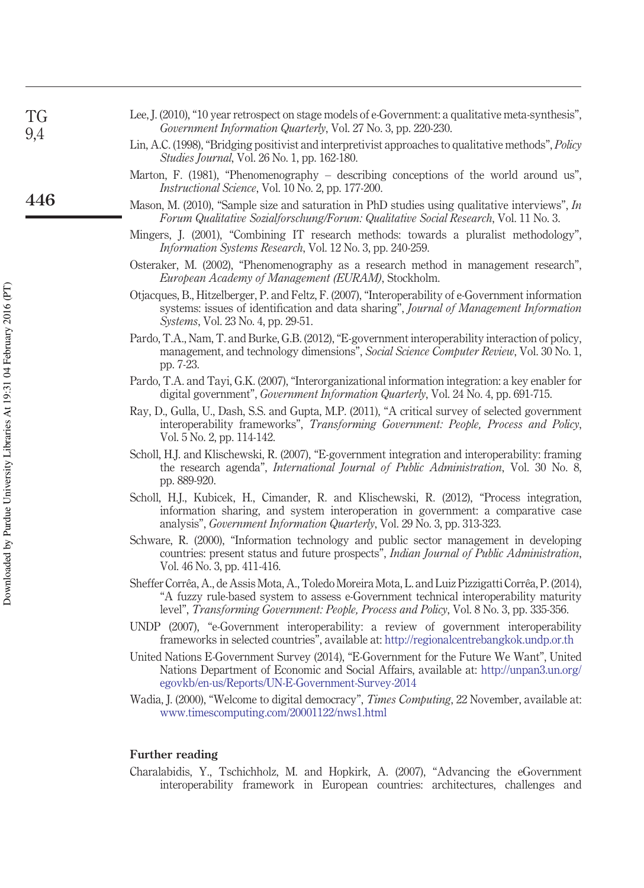| <b>TG</b><br>9,4 | Lee, J. (2010), "10 year retrospect on stage models of e-Government: a qualitative meta-synthesis",<br>Government Information Quarterly, Vol. 27 No. 3, pp. 220-230.                                                                                                                      |
|------------------|-------------------------------------------------------------------------------------------------------------------------------------------------------------------------------------------------------------------------------------------------------------------------------------------|
|                  | Lin, A.C. (1998), "Bridging positivist and interpretivist approaches to qualitative methods", Policy<br><i>Studies Journal, Vol. 26 No. 1, pp. 162-180.</i>                                                                                                                               |
|                  | Marton, F. (1981), "Phenomenography – describing conceptions of the world around us",<br>Instructional Science, Vol. 10 No. 2, pp. 177-200.                                                                                                                                               |
| 446              | Mason, M. (2010), "Sample size and saturation in PhD studies using qualitative interviews", $In$<br>Forum Qualitative Sozialforschung/Forum: Qualitative Social Research, Vol. 11 No. 3.                                                                                                  |
|                  | Mingers, J. (2001), "Combining IT research methods: towards a pluralist methodology",<br><i>Information Systems Research, Vol. 12 No. 3, pp. 240-259.</i>                                                                                                                                 |
|                  | Osteraker, M. (2002), "Phenomenography as a research method in management research",<br>European Academy of Management (EURAM), Stockholm.                                                                                                                                                |
|                  | Otjacques, B., Hitzelberger, P. and Feltz, F. (2007), "Interoperability of e-Government information<br>systems: issues of identification and data sharing", Journal of Management Information<br><i>Systems</i> , Vol. 23 No. 4, pp. 29-51.                                               |
|                  | Pardo, T.A., Nam, T. and Burke, G.B. (2012), "E-government interoperability interaction of policy,<br>management, and technology dimensions", Social Science Computer Review, Vol. 30 No. 1,<br>pp. 7-23.                                                                                 |
|                  | Pardo, T.A. and Tayi, G.K. (2007), "Interorganizational information integration: a key enabler for<br>digital government", Government Information Quarterly, Vol. 24 No. 4, pp. 691-715.                                                                                                  |
|                  | Ray, D., Gulla, U., Dash, S.S. and Gupta, M.P. (2011), "A critical survey of selected government<br>interoperability frameworks", Transforming Government: People, Process and Policy,<br>Vol. 5 No. 2, pp. 114-142.                                                                      |
|                  | Scholl, H.J. and Klischewski, R. (2007), "E-government integration and interoperability: framing<br>the research agenda", International Journal of Public Administration, Vol. 30 No. 8,<br>pp. 889-920.                                                                                  |
|                  | Scholl, H.J., Kubicek, H., Cimander, R. and Klischewski, R. (2012), "Process integration,<br>information sharing, and system interoperation in government: a comparative case<br>analysis", <i>Government Information Quarterly</i> , Vol. 29 No. 3, pp. 313-323.                         |
|                  | Schware, R. (2000), "Information technology and public sector management in developing<br>countries: present status and future prospects", Indian Journal of Public Administration,<br>Vol. 46 No. 3, pp. 411-416.                                                                        |
|                  | Sheffer Corrêa, A., de Assis Mota, A., Toledo Moreira Mota, L. and Luiz Pizzigatti Corrêa, P. (2014),<br>"A fuzzy rule-based system to assess e-Government technical interoperability maturity<br>level", Transforming Government: People, Process and Policy, Vol. 8 No. 3, pp. 335-356. |
|                  | UNDP (2007), "e-Government interoperability: a review of government interoperability<br>frameworks in selected countries", available at: http://regionalcentrebangkok.undp.or.th                                                                                                          |
|                  | United Nationa E Coronmont Survey (9014) "E Coronmont for the Euture We Wort" United                                                                                                                                                                                                      |

- United Nations E-Government Survey (2014), "E-Government for the Future We Want", United Nations Department of Economic and Social Affairs, available at: [http://unpan3.un.org/](http://unpan3.un.org/egovkb/en-us/Reports/UN-E-Government-Survey-2014) [egovkb/en-us/Reports/UN-E-Government-Survey-2014](http://unpan3.un.org/egovkb/en-us/Reports/UN-E-Government-Survey-2014)
- Wadia, J. (2000), "Welcome to digital democracy", *Times Computing*, 22 November, available at: [www.timescomputing.com/20001122/nws1.html](http://www.timescomputing.com/20001122/nws1.html)

#### **Further reading**

Charalabidis, Y., Tschichholz, M. and Hopkirk, A. (2007), "Advancing the eGovernment interoperability framework in European countries: architectures, challenges and